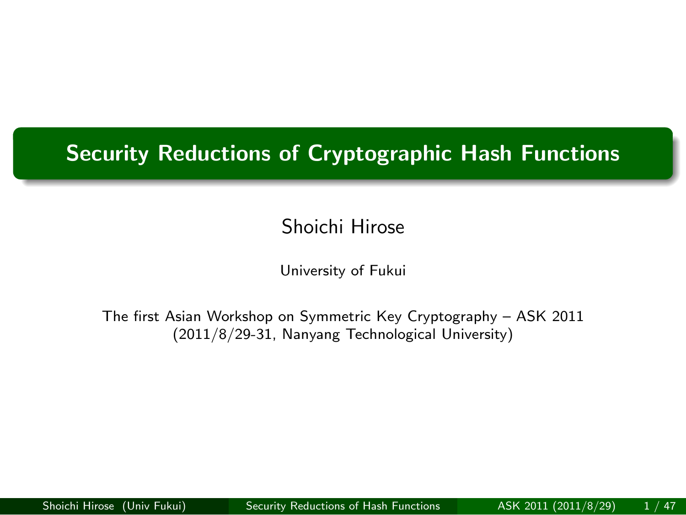#### .. . **Security Reductions of Cryptographic Hash Functions**

.

Shoichi Hirose

University of Fukui

The first Asian Workshop on Symmetric Key Cryptography – ASK 2011 (2011/8/29-31, Nanyang Technological University)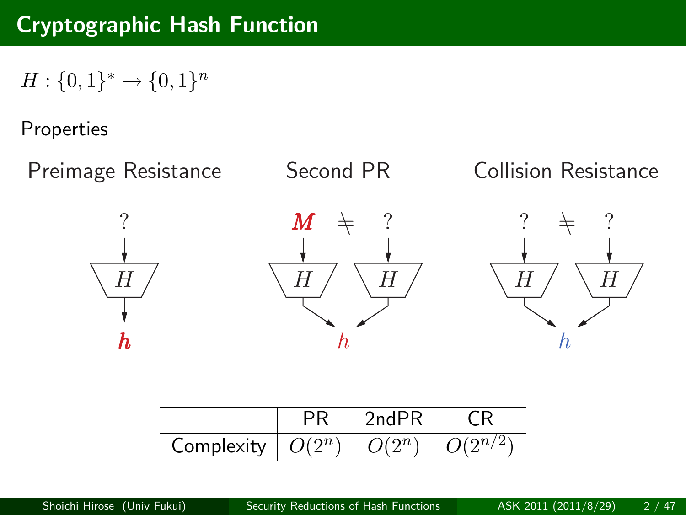# **Cryptographic Hash Function**

 $H: \{0, 1\}^* \to \{0, 1\}^n$ 

#### Properties

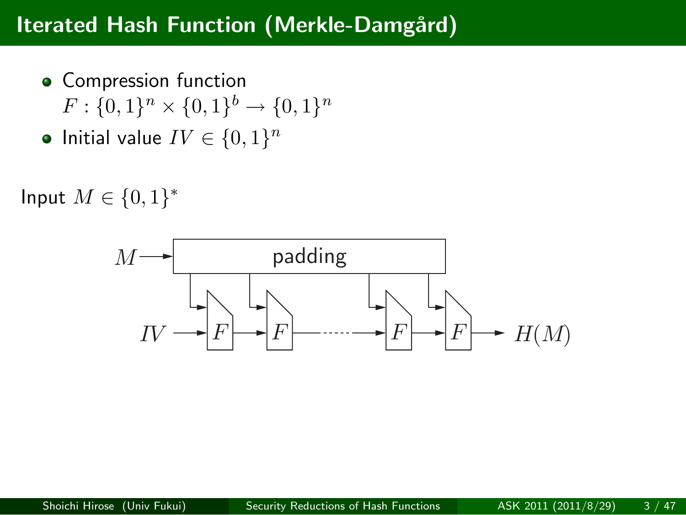#### **Iterated Hash Function (Merkle-Damgård)**

- Compression function  $F: \{0, 1\}^n \times \{0, 1\}^b \rightarrow \{0, 1\}^n$
- Initial value  $IV \in \{0, 1\}^n$

Input *M ∈ {*0*,* 1*} ∗*

$$
M \longrightarrow \longrightarrow
$$
 padding\n
$$
IV \longrightarrow F \longrightarrow F \longrightarrow F \longrightarrow H(M)
$$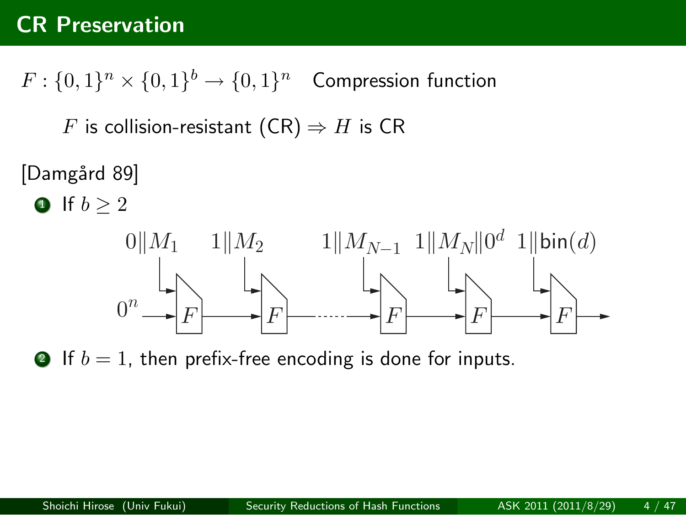#### **CR Preservation**

 $F: \{0,1\}^n \times \{0,1\}^b \rightarrow \{0,1\}^n$  Compression function

*F* is collision-resistant  $(CR) \Rightarrow H$  is  $CR$ 

[Damgård 89]

$$
\bullet \ \text{If } b \geq 2
$$



**1** If  $b = 1$ , then prefix-free encoding is done for inputs.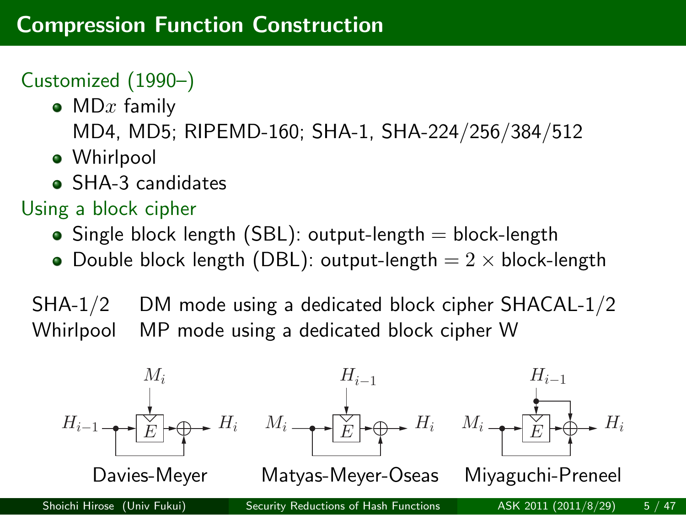#### **Compression Function Construction**

#### Customized (1990–)

- MD*x* family
	- MD4, MD5; RIPEMD-160; SHA-1, SHA-224/256/384/512
- Whirlpool
- SHA-3 candidates

#### Using a block cipher

- $\bullet$  Single block length (SBL): output-length  $=$  block-length
- Double block length (DBL): output-length = 2 *×* block-length

SHA-1/2 DM mode using a dedicated block cipher SHACAL-1/2 Whirlpool MP mode using a dedicated block cipher W

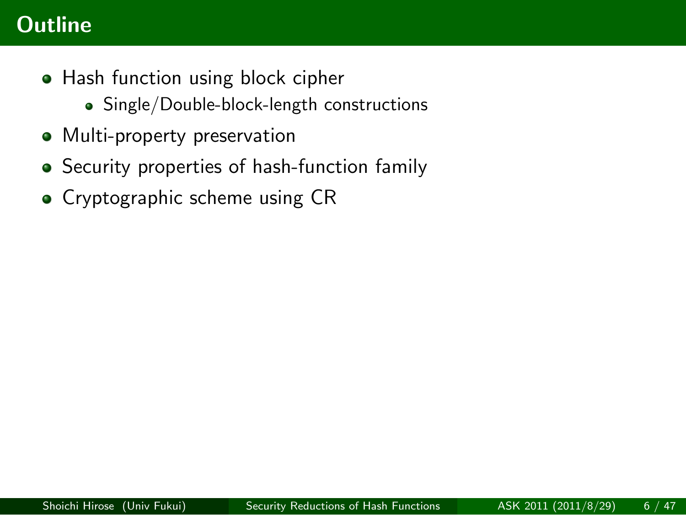### **Outline**

- Hash function using block cipher Single/Double-block-length constructions
- Multi-property preservation
- Security properties of hash-function family
- Cryptographic scheme using CR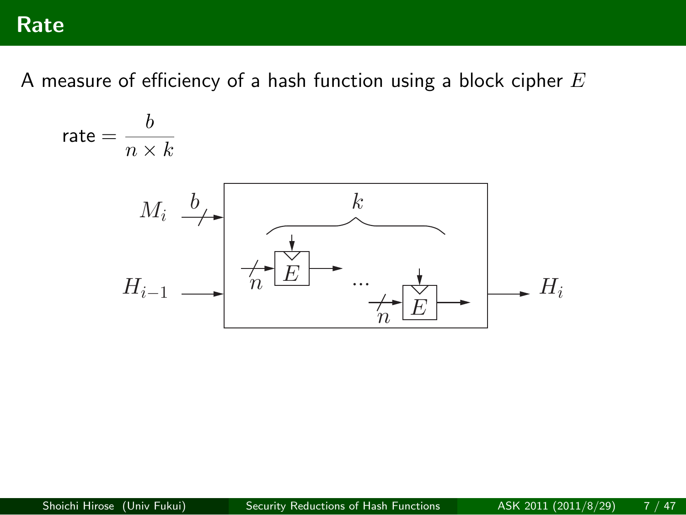#### **Rate**

A measure of efficiency of a hash function using a block cipher *E*

rate = 
$$
\frac{b}{n \times k}
$$
  
\n
$$
M_i \xrightarrow{b} \qquad k
$$
  
\n
$$
H_{i-1} \longrightarrow \overbrace{h \xrightarrow{b} E}^{k} \cdots \qquad h \xrightarrow{b} H_i
$$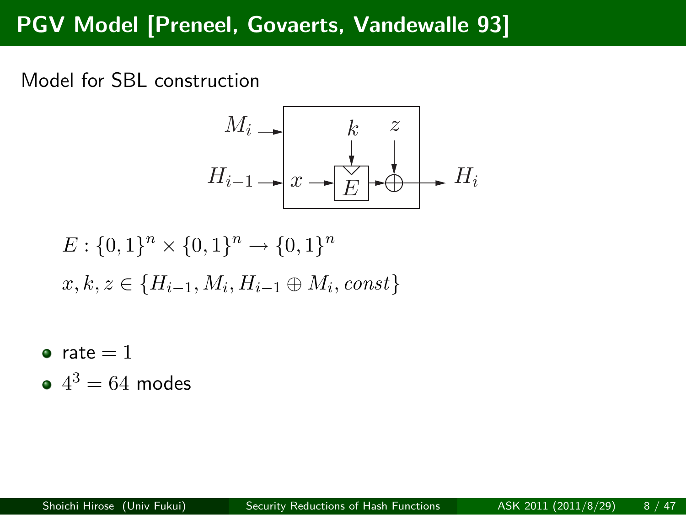# **PGV Model [Preneel, Govaerts, Vandewalle 93]**

Model for SBL construction

$$
H_{i-1} \longrightarrow \begin{array}{c} k & z \\ k & \downarrow \\ E & \downarrow \end{array}
$$

$$
H_{i-1} \longrightarrow x \longrightarrow \begin{array}{c} k & z \\ k & \downarrow \\ E & \downarrow \end{array}
$$

$$
H_i
$$

$$
E: \{0,1\}^n \times \{0,1\}^n \to \{0,1\}^n
$$
  

$$
x, k, z \in \{H_{i-1}, M_i, H_{i-1} \oplus M_i, const\}
$$

- $\bullet$  rate = 1
- $4^3 = 64$  modes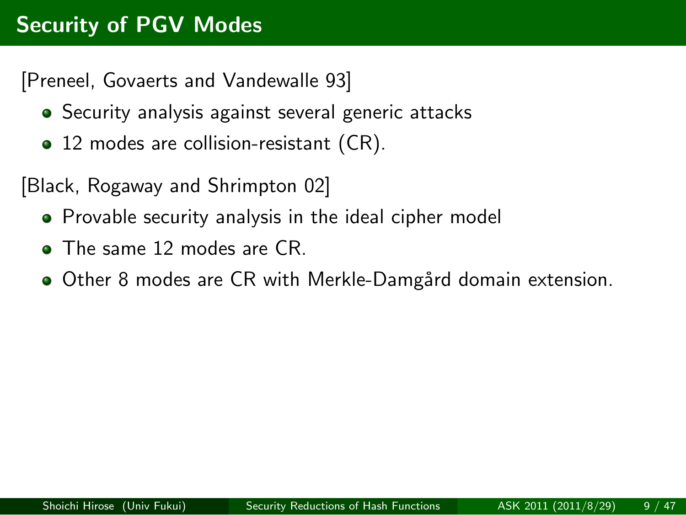#### **Security of PGV Modes**

[Preneel, Govaerts and Vandewalle 93]

- Security analysis against several generic attacks
- 12 modes are collision-resistant (CR).

[Black, Rogaway and Shrimpton 02]

- Provable security analysis in the ideal cipher model
- The same 12 modes are CR.
- $\bullet$  Other 8 modes are CR with Merkle-Damgård domain extension.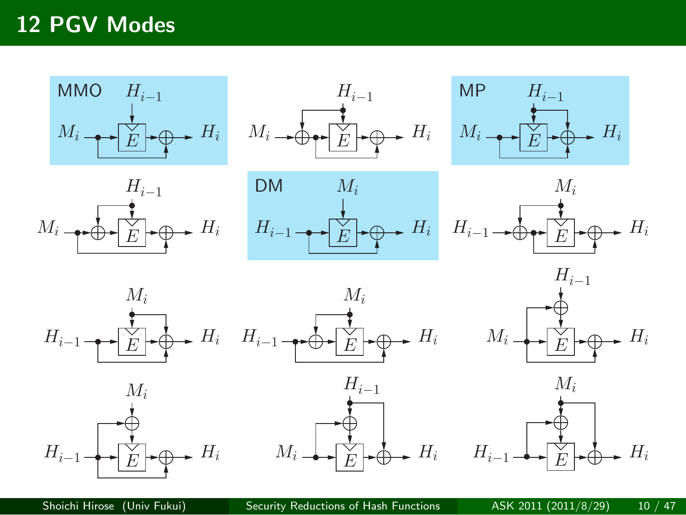# **12 PGV Modes**

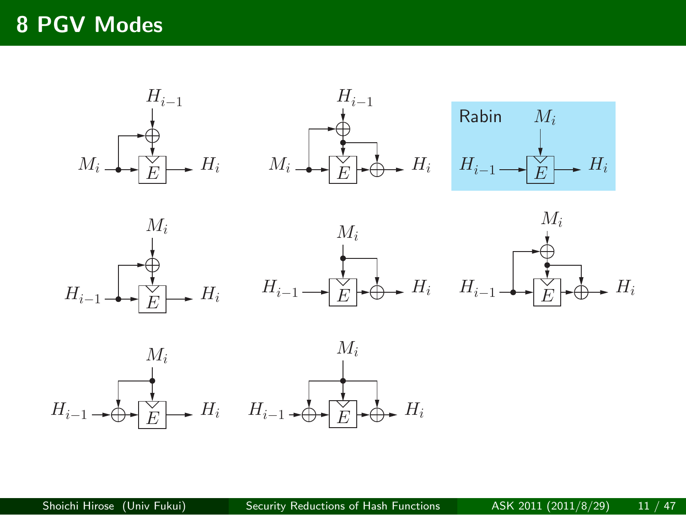# **8 PGV Modes**

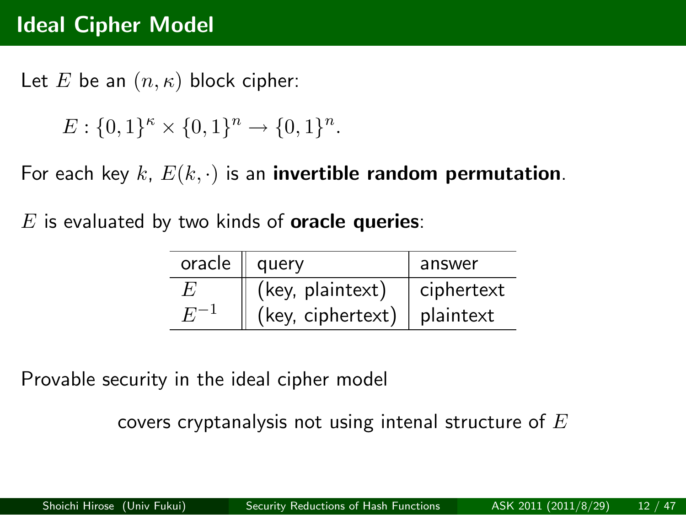#### **Ideal Cipher Model**

Let *E* be an (*n, κ*) block cipher:

 $E: \{0, 1\}^n \times \{0, 1\}^n \to \{0, 1\}^n$ .

For each key *k*, *E*(*k, ·*) is an **invertible random permutation**.

*E* is evaluated by two kinds of **oracle queries**:

| oracle $\parallel$ | query             | answer     |
|--------------------|-------------------|------------|
| $F_{i}$            | (key, plaintext)  | ciphertext |
|                    | (key, ciphertext) | plaintext  |

Provable security in the ideal cipher model

covers cryptanalysis not using intenal structure of *E*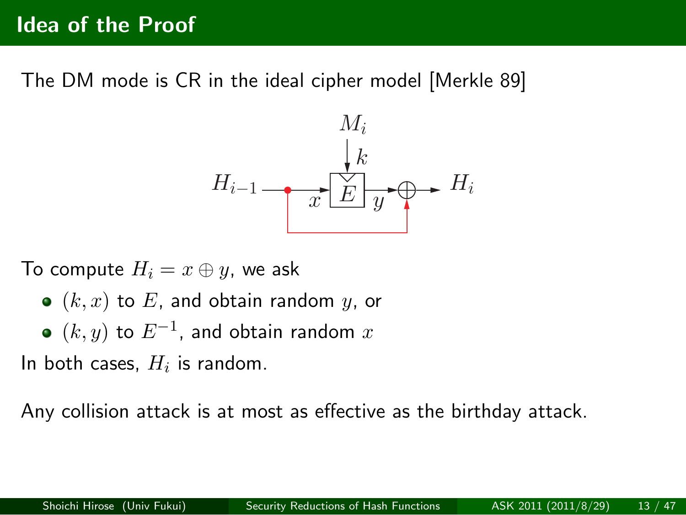#### **Idea of the Proof**

The DM mode is CR in the ideal cipher model [Merkle 89]

$$
H_{i-1} \xrightarrow{\begin{array}{c} M_i \\ k \\ \hline \text{E} \\ \text{E} \end{array}} H_i
$$

To compute  $H_i = x \oplus y$ , we ask

- $\bullet$   $(k, x)$  to  $E$ , and obtain random  $y$ , or
- (*k, y*) to *E−*<sup>1</sup> , and obtain random *x*

In both cases, *H<sup>i</sup>* is random.

Any collision attack is at most as effective as the birthday attack.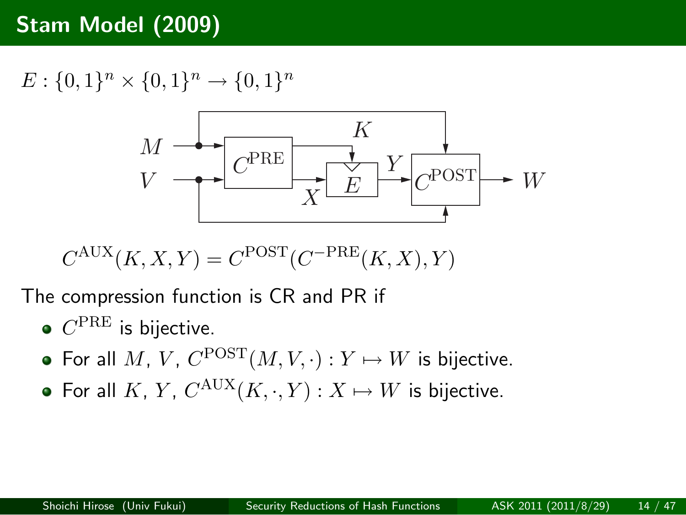#### **Stam Model (2009)**

 $E: \{0, 1\}^n \times \{0, 1\}^n \rightarrow \{0, 1\}^n$ 

$$
M \longrightarrow K
$$
\n
$$
V \longrightarrow C^{PRE} \longrightarrow K
$$
\n
$$
X \longrightarrow C^{POST} \longrightarrow W
$$

 $C^{AUX}(K, X, Y) = C^{POST}(C^{-PRE}(K, X), Y)$ 

The compression function is CR and PR if

- $C^{\mathrm{PRE}}$  is bijective.
- For all  $M$ ,  $V$ ,  $C^{POST}(M, V, \cdot) : Y \mapsto W$  is bijective.
- For all  $K$ ,  $Y$ ,  $C^{AUX}(K, \cdot, Y) : X \mapsto W$  is bijective.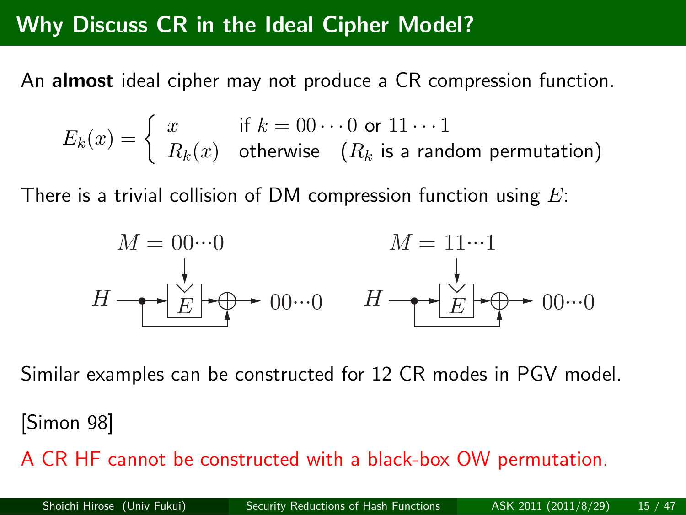#### **Why Discuss CR in the Ideal Cipher Model?**

An **almost** ideal cipher may not produce a CR compression function.

$$
E_k(x) = \begin{cases} x & \text{if } k = 00 \cdots 0 \text{ or } 11 \cdots 1 \\ R_k(x) & \text{otherwise} \end{cases}
$$
  
 $(R_k \text{ is a random permutation})$ 

There is a trivial collision of DM compression function using *E*:

$$
M = 00\cdots0
$$
  
\n
$$
H \longrightarrow \boxed{\overset{\downarrow}{E}} \longrightarrow 00\cdots0
$$
  
\n
$$
H \longrightarrow \boxed{\overset{\downarrow}{E}} \longrightarrow 00\cdots0
$$
  
\n
$$
H \longrightarrow \boxed{\overset{\downarrow}{E}} \longrightarrow 00\cdots0
$$

Similar examples can be constructed for 12 CR modes in PGV model.

#### [Simon 98]

A CR HF cannot be constructed with a black-box OW permutation.

| Shoichi Hirose (Univ Fukui) | Security Reductions of Hash Functions | ASK 2011 (2011/8/29) | 15 / 47 |
|-----------------------------|---------------------------------------|----------------------|---------|
|-----------------------------|---------------------------------------|----------------------|---------|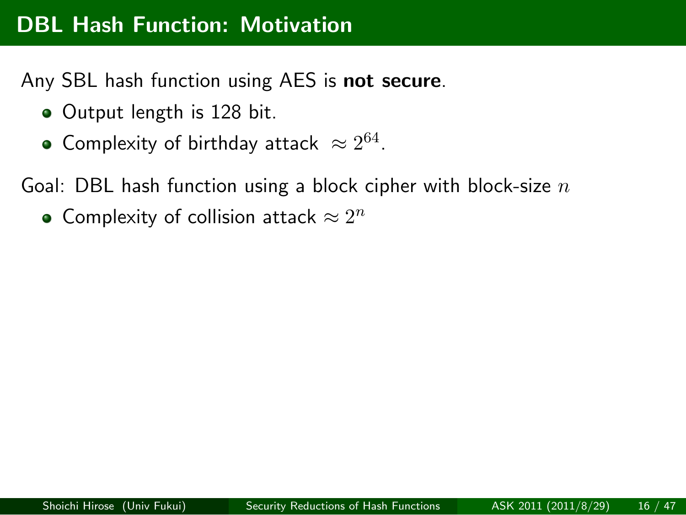### **DBL Hash Function: Motivation**

Any SBL hash function using AES is **not secure**.

- Output length is 128 bit.
- Complexity of birthday attack  $\approx 2^{64}$ .

Goal: DBL hash function using a block cipher with block-size *n*

Complexity of collision attack  $\approx 2^n$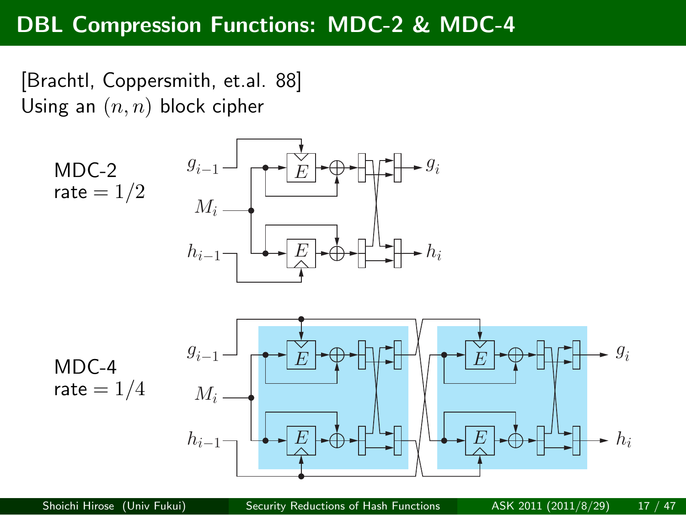#### **DBL Compression Functions: MDC-2 & MDC-4**

[Brachtl, Coppersmith, et.al. 88] Using an (*n, n*) block cipher

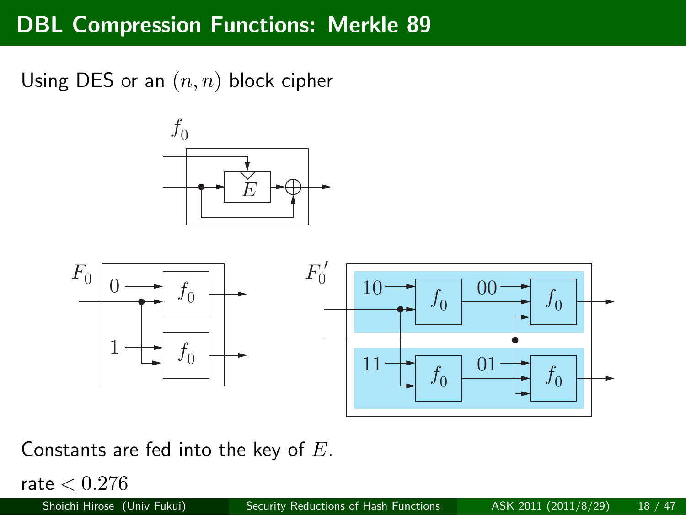# **DBL Compression Functions: Merkle 89**

Using DES or an (*n, n*) block cipher





Constants are fed into the key of *E*.

 $\frac{\text{rate} < 0.276}{\text{Shoichi Hirose (L)}}$ 

| Shoichi Hirose (Univ Fukui) | Security Reductions of Hash Functions | ASK 2011 (2011/8/29) | 18 / 47 |
|-----------------------------|---------------------------------------|----------------------|---------|
|-----------------------------|---------------------------------------|----------------------|---------|

T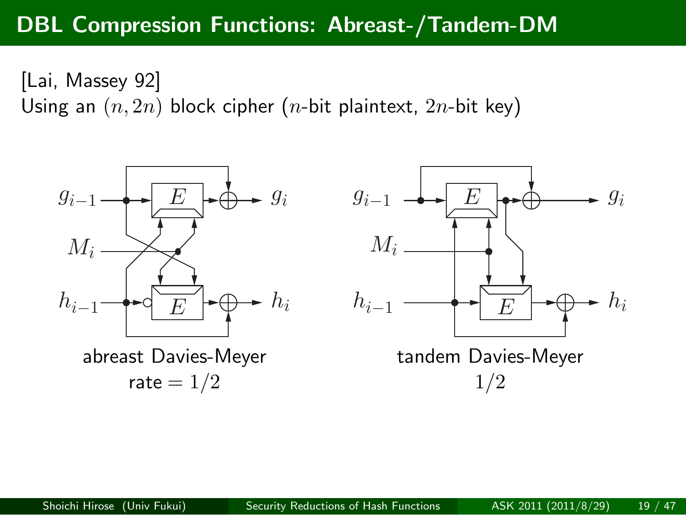#### **DBL Compression Functions: Abreast-/Tandem-DM**

[Lai, Massey 92]

Using an (*n,* 2*n*) block cipher (*n*-bit plaintext, 2*n*-bit key)



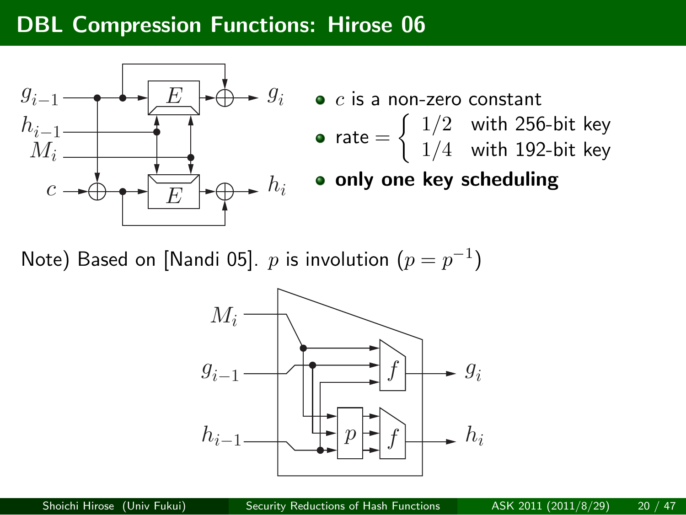#### **DBL Compression Functions: Hirose 06**



Note) Based on [Nandi 05].  $p$  is involution  $(p = p^{-1})$ 

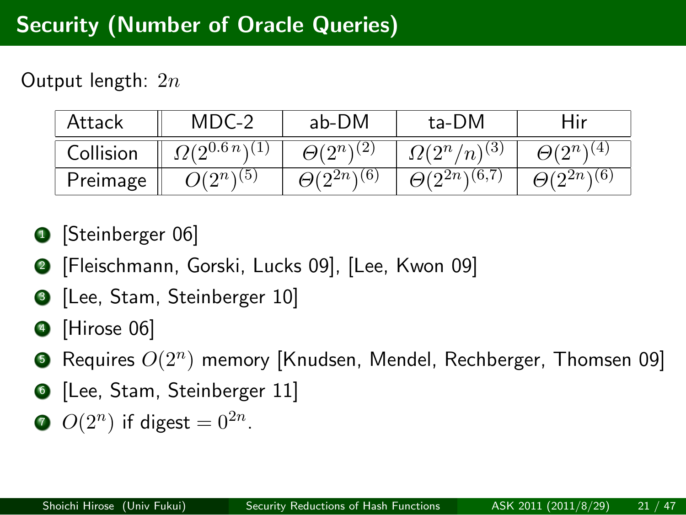#### **Security (Number of Oracle Queries)**

Output length: 2*n*

| Attack    | $MDC-2$                 | ab-DM                      | ta-DM                    | dir                    |
|-----------|-------------------------|----------------------------|--------------------------|------------------------|
| Collision | $O(2^{0.6 n \sqrt{1}})$ | $\Theta(2^n)^{(2)}$        | $(2^n/n)^{(3)}$          | $\Theta(2^n)^{(4)}$    |
| Preimage  | $ O(2^{n\sqrt{5}})$     | $\theta(2^{2n}(\sqrt{6}))$ | $\Theta(2^{2n})^{(6,7)}$ | $\Theta(2^{2n})^{(6)}$ |

- **1** [Steinberger 06]
- . . .<sup>2</sup> [Fleischmann, Gorski, Lucks 09], [Lee, Kwon 09]
- . . .<sup>3</sup> [Lee, Stam, Steinberger 10]
- . . .<sup>4</sup> [Hirose 06]
- . . .<sup>5</sup> Requires *O*(2*<sup>n</sup>* ) memory [Knudsen, Mendel, Rechberger, Thomsen 09]
- . . .<sup>6</sup> [Lee, Stam, Steinberger 11]
- $O(2^n)$  if digest =  $0^{2n}$ .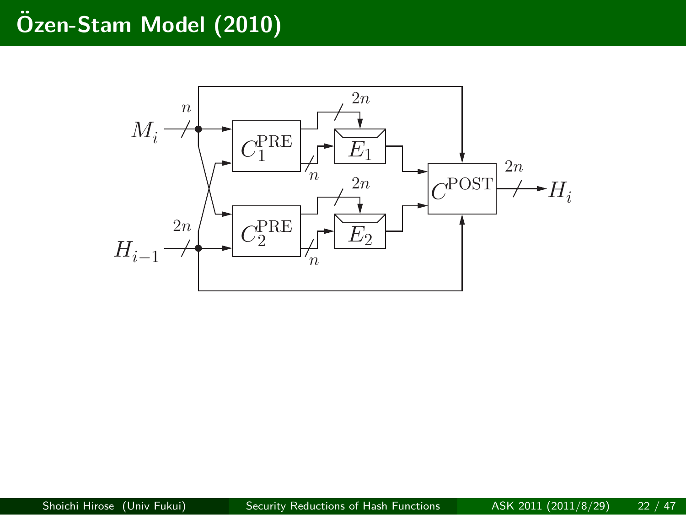# **Ozen-Stam Model (2010) ¨**

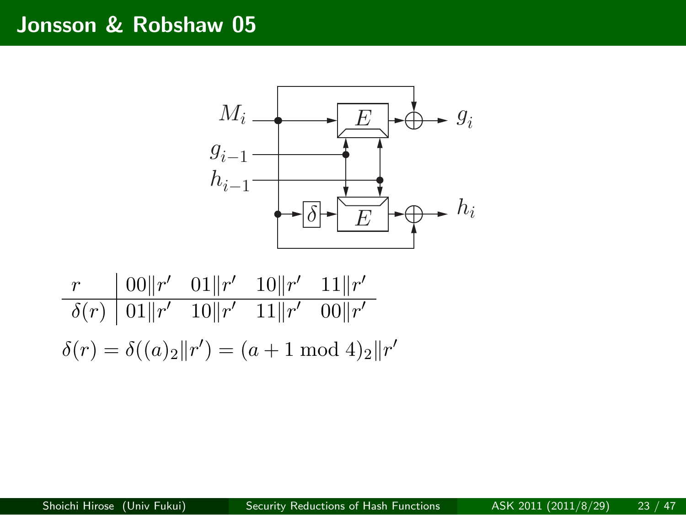# **Jonsson & Robshaw 05**



$$
\frac{r}{\delta(r)} \frac{|00||r'|}{|01||r'|} \frac{01||r'|}{10||r'|} \frac{10||r'|}{11||r'|} \frac{11||r'|}{|00||r'|}
$$

$$
\delta(r) = \delta((a)_2||r') = (a+1 \mod 4)_2||r'|
$$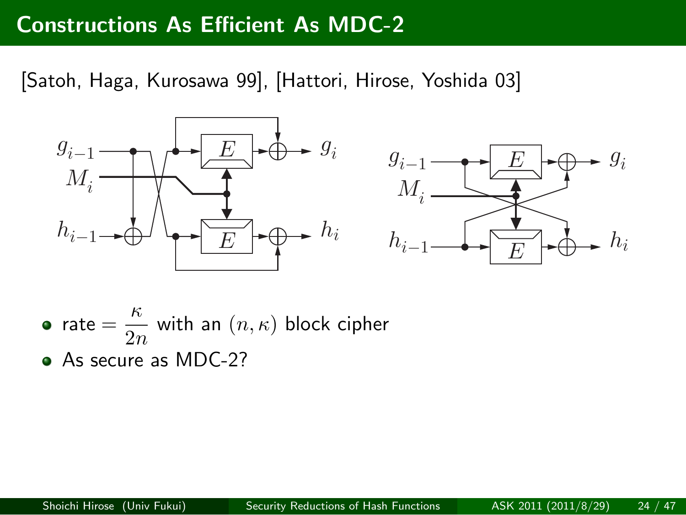#### **Constructions As Efficient As MDC-2**

[Satoh, Haga, Kurosawa 99], [Hattori, Hirose, Yoshida 03]



- rate  $=\frac{\kappa}{2}$  $\frac{n}{2n}$  with an  $(n, \kappa)$  block cipher
- As secure as MDC-2?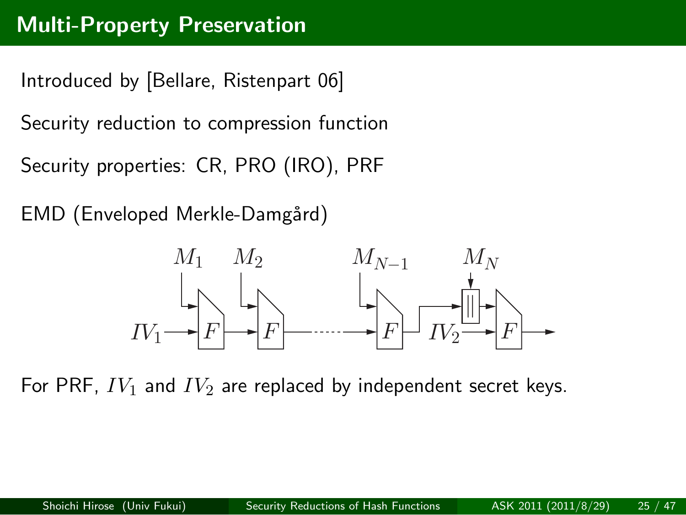Introduced by [Bellare, Ristenpart 06] Security reduction to compression function Security properties: CR, PRO (IRO), PRF

EMD (Enveloped Merkle-Damgård)



For PRF, *IV*<sup>1</sup> and *IV*<sup>2</sup> are replaced by independent secret keys.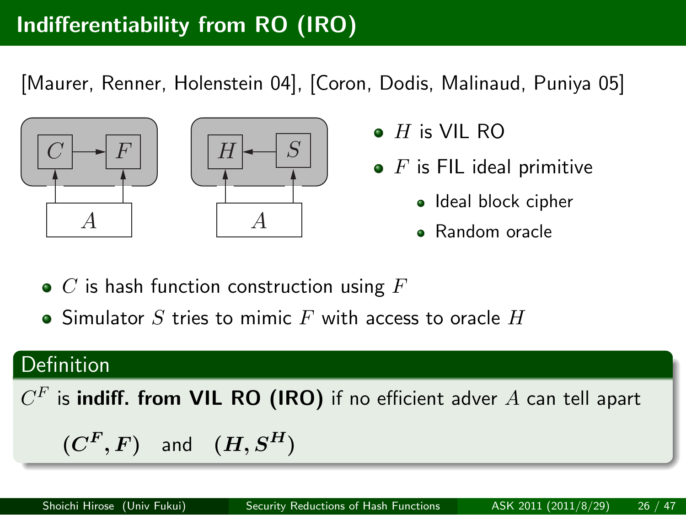#### **Indifferentiability from RO (IRO)**

[Maurer, Renner, Holenstein 04], [Coron, Dodis, Malinaud, Puniya 05]



 $C$   $\rightarrow$   $F$   $\mid$   $\mid$   $\mid$   $H$   $\rightarrow$   $S$   $\mid$ 

- *H* is VIL RO
- **•** *F* is FIL ideal primitive
	- · Ideal block cipher
	- Random oracle
- *C* is hash function construction using *F*
- Simulator *S* tries to mimic *F* with access to oracle *H*

#### . Definition .. .. .  $C^F$  is **indiff. from VIL RO (IRO)** if no efficient adver  $A$  can tell apart  $(C^F, F)$  and  $(H, S^H)$ Shoichi Hirose (Univ Fukui) Security Reductions of Hash Functions ASK 2011 (2011/8/29)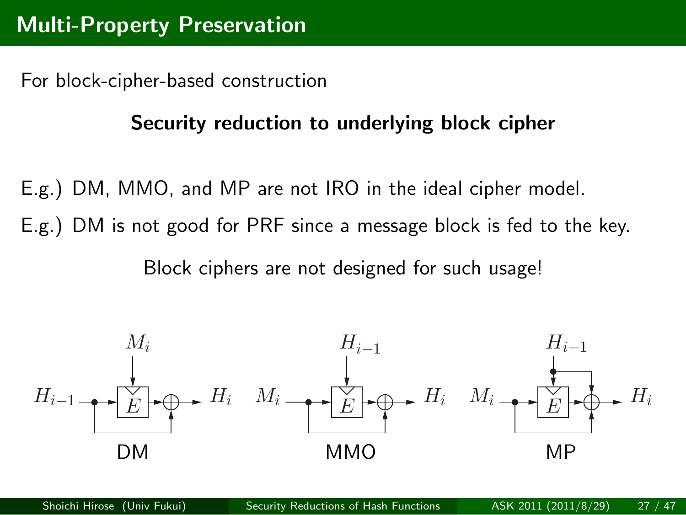For block-cipher-based construction

#### **Security reduction to underlying block cipher**

- E.g.) DM, MMO, and MP are not IRO in the ideal cipher model.
- E.g.) DM is not good for PRF since a message block is fed to the key.

Block ciphers are not designed for such usage!



Shoichi Hirose (Univ Fukui) Security Reductions of Hash Functions ASK 2011 (2011/8/29) 27 / 47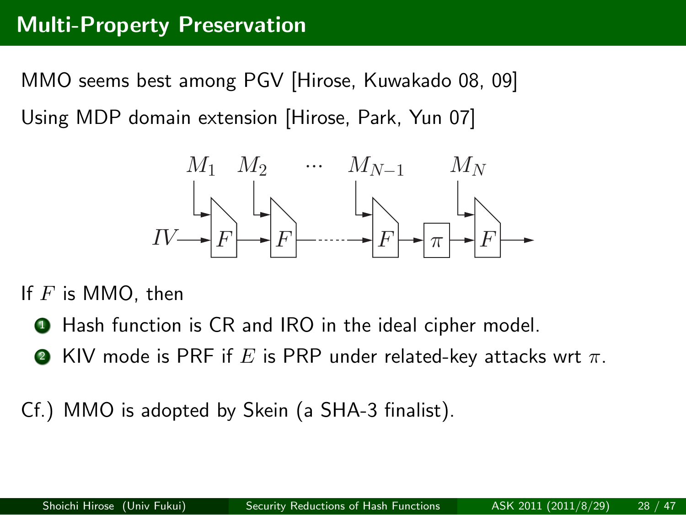MMO seems best among PGV [Hirose, Kuwakado 08, 09] Using MDP domain extension [Hirose, Park, Yun 07]



If *F* is MMO, then

- . . .<sup>1</sup> Hash function is CR and IRO in the ideal cipher model.
- $\bullet$  KIV mode is PRF if  $E$  is PRP under related-key attacks wrt  $\pi.$
- Cf.) MMO is adopted by Skein (a SHA-3 finalist).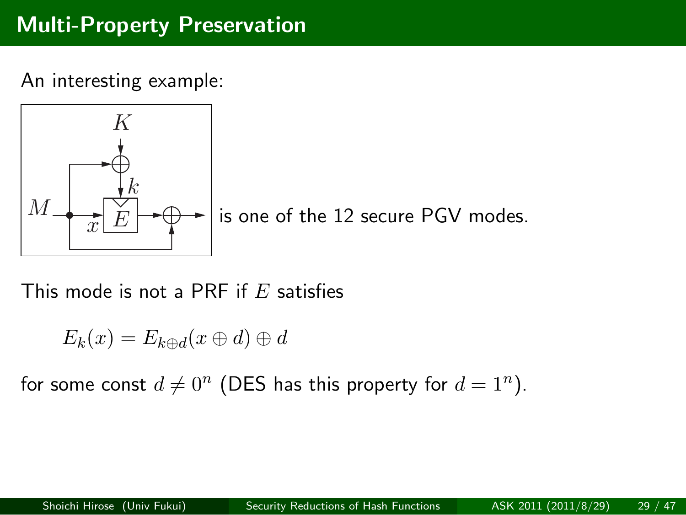An interesting example:

$$
\begin{array}{c}\nK \\
\downarrow \\
M \\
\hline\nx E\n\end{array}
$$

is one of the 12 secure PGV modes.

This mode is not a PRF if *E* satisfies

$$
E_k(x) = E_{k \oplus d}(x \oplus d) \oplus d
$$

for some const  $d \neq 0^n$  (DES has this property for  $d = 1^n$ ).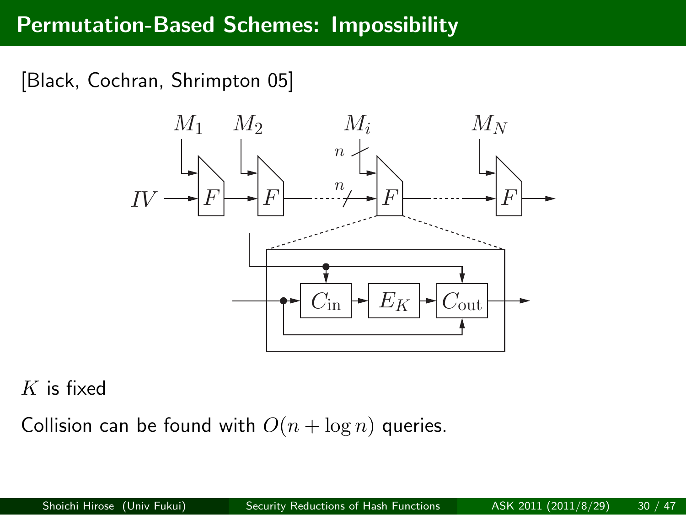#### **Permutation-Based Schemes: Impossibility**

[Black, Cochran, Shrimpton 05]



#### *K* is fixed

Collision can be found with  $O(n + \log n)$  queries.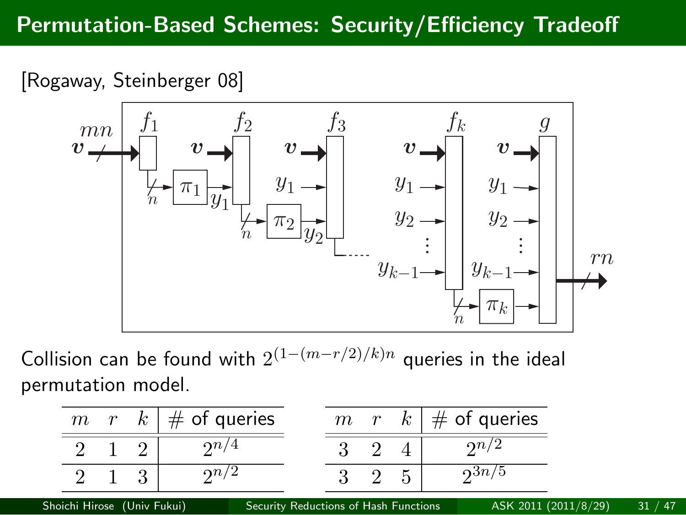# **Permutation-Based Schemes: Security/Efficiency Tradeoff**

[Rogaway, Steinberger 08]



Collision can be found with 2 (1*−*(*m−r/*2)*/k*)*<sup>n</sup>* queries in the ideal permutation model.

| m                           | r | $\kappa$     | $#$ of queries                        | m | r | $\kappa$ | $#$ of queries       |             |
|-----------------------------|---|--------------|---------------------------------------|---|---|----------|----------------------|-------------|
|                             |   |              | $\Omega n/4$                          |   |   |          | $\Omega n/2$         |             |
|                             |   | $\mathbf{Q}$ | $\Omega n/2$                          |   |   |          | $2^{3n/5}$           |             |
| Shoichi Hirose (Univ Fukui) |   |              | Security Reductions of Hash Functions |   |   |          | ASK 2011 (2011/8/29) | $\sqrt{47}$ |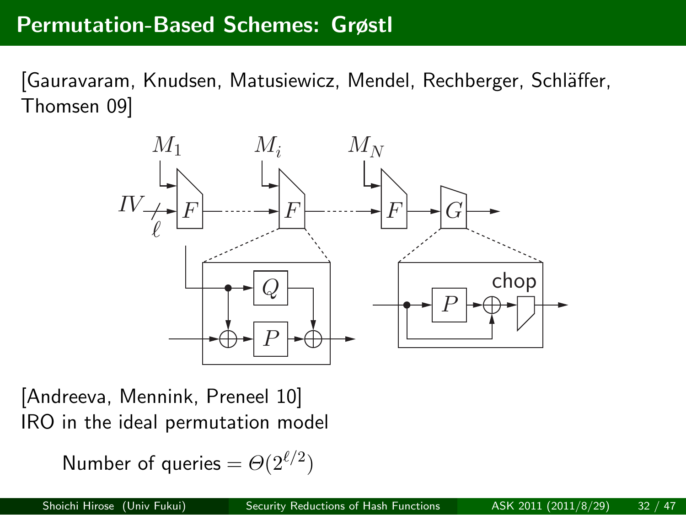#### **Permutation-Based Schemes: Grøstl**

[Gauravaram, Knudsen, Matusiewicz, Mendel, Rechberger, Schläffer, Thomsen 09]



[Andreeva, Mennink, Preneel 10] IRO in the ideal permutation model

Number of queries  $= \Theta(2^{\ell/2})$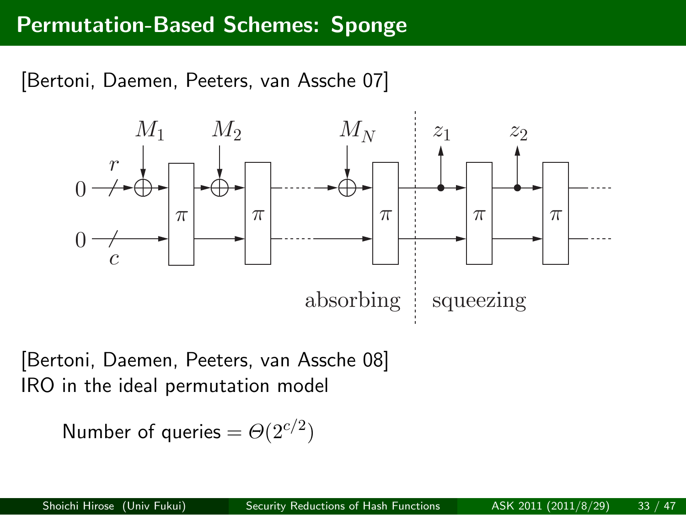#### **Permutation-Based Schemes: Sponge**



[Bertoni, Daemen, Peeters, van Assche 08] IRO in the ideal permutation model

Number of queries  $= \Theta(2^{c/2})$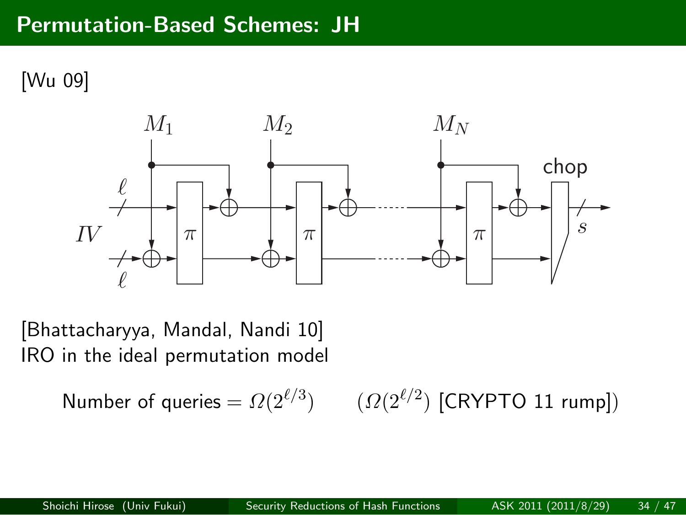# **Permutation-Based Schemes: JH**

[Wu 09]



[Bhattacharyya, Mandal, Nandi 10] IRO in the ideal permutation model

> Number of queries =  $\Omega(2^{\ell/3})$ ) (*Ω*(2<sup>ℓ/2</sup>) [CRYPTO 11 rump])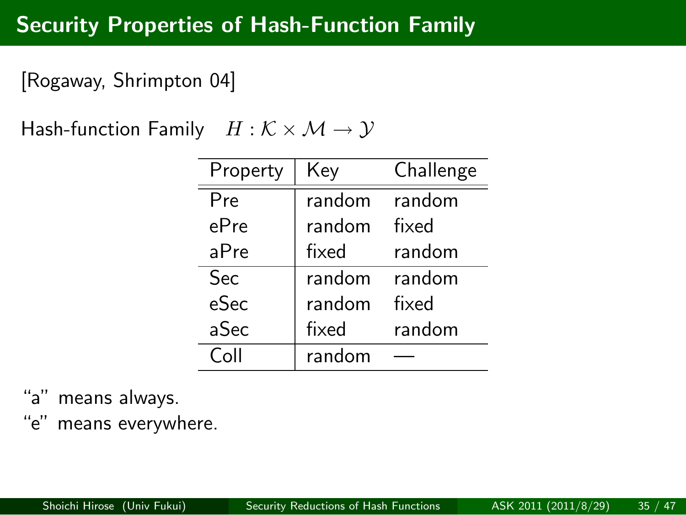# **Security Properties of Hash-Function Family**

[Rogaway, Shrimpton 04]

Hash-function Family  $H : \mathcal{K} \times \mathcal{M} \rightarrow \mathcal{Y}$ 

| Property | Key    | Challenge |  |
|----------|--------|-----------|--|
| Pre      | random | random    |  |
| ePre     | random | fixed     |  |
| aPre     | fixed  | random    |  |
| Sec      | random | random    |  |
| eSec     | random | fixed     |  |
| aSec     | fixed  | random    |  |
| Coll     | random |           |  |

"a" means always.

"e" means everywhere.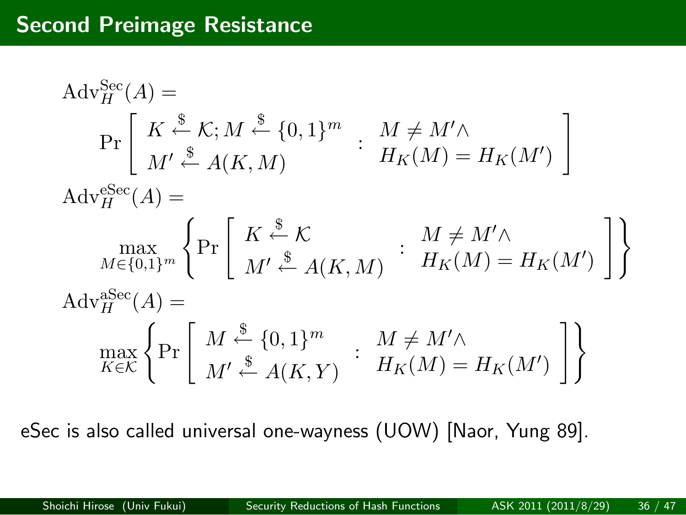# **Second Preimage Resistance**

$$
Adv_{H}^{Sec}(A) =
$$
\n
$$
Pr\left[K \stackrel{\$}{\leftarrow} K; M \stackrel{\$}{\leftarrow} \{0,1\}^{m} : M \neq M' \land
$$
\n
$$
Adv_{H}^{Sec}(A) =
$$
\n
$$
Adv_{H}^{Sec}(A) =
$$
\n
$$
\max_{M \in \{0,1\}^{m}} \left\{ Pr\left[K \stackrel{\$}{\leftarrow} K \land K, M \right] : M \neq M' \land
$$
\n
$$
Adv_{H}^{Sec}(A) =
$$
\n
$$
Adv_{H}^{Sec}(A) =
$$
\n
$$
\max_{K \in \mathcal{K}} \left\{ Pr\left[M \stackrel{\$}{\leftarrow} \{0,1\}^{m} : M \neq M' \land K \land M) = H_{K}(M') \right] \right\}
$$

eSec is also called universal one-wayness (UOW) [Naor, Yung 89].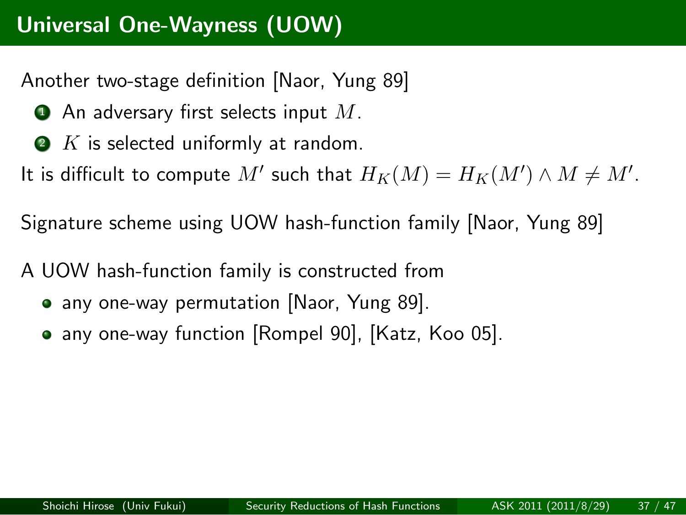#### **Universal One-Wayness (UOW)**

Another two-stage definition [Naor, Yung 89]

- $\bullet$  An adversary first selects input  $M$ .
- $\bullet$   $K$  is selected uniformly at random.

It is difficult to compute  $M'$  such that  $H_K(M) = H_K(M') \wedge M \neq M'$ .

Signature scheme using UOW hash-function family [Naor, Yung 89]

A UOW hash-function family is constructed from

- any one-way permutation [Naor, Yung 89].
- any one-way function [Rompel 90], [Katz, Koo 05].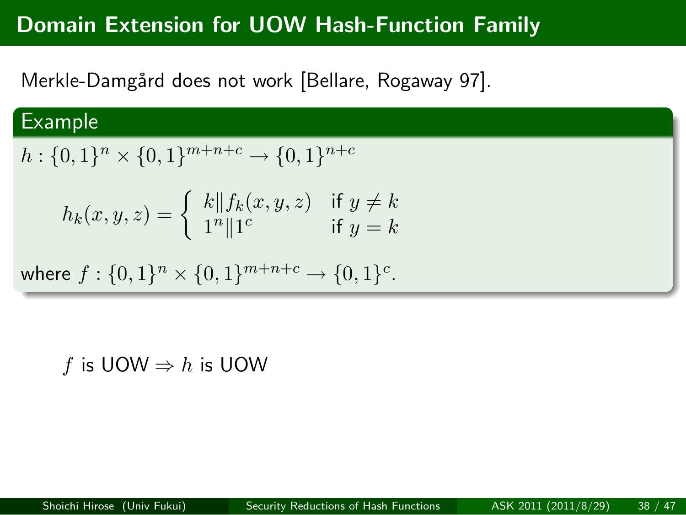Merkle-Damgård does not work [Bellare, Rogaway 97].

# Example

$$
h: \{0,1\}^n \times \{0,1\}^{m+n+c} \to \{0,1\}^{n+c}
$$
  

$$
h_k(x,y,z) = \begin{cases} k||f_k(x,y,z) & \text{if } y \neq k \\ 1^n||1^c & \text{if } y = k \end{cases}
$$
  
where  $f: \{0,1\}^n \times \{0,1\}^{m+n+c} \to \{0,1\}^c$ .

*f* is UOW  $⇒$  *h* is UOW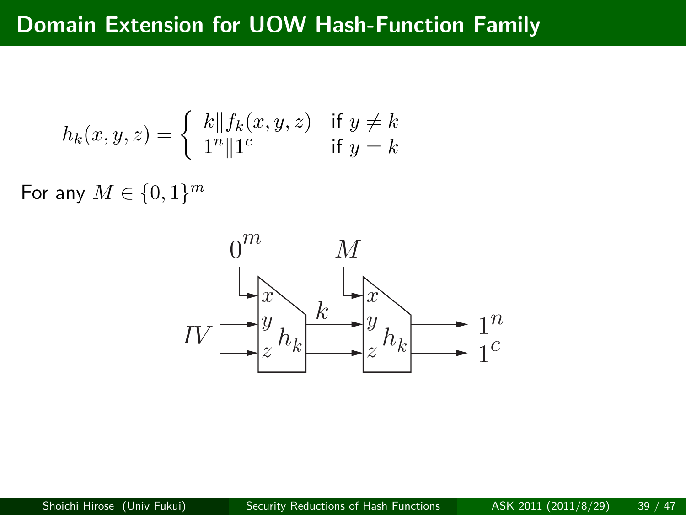$$
h_k(x, y, z) = \begin{cases} k \| f_k(x, y, z) & \text{if } y \neq k \\ 1^n \| 1^c & \text{if } y = k \end{cases}
$$

For any  $M \in \{0, 1\}^m$ 

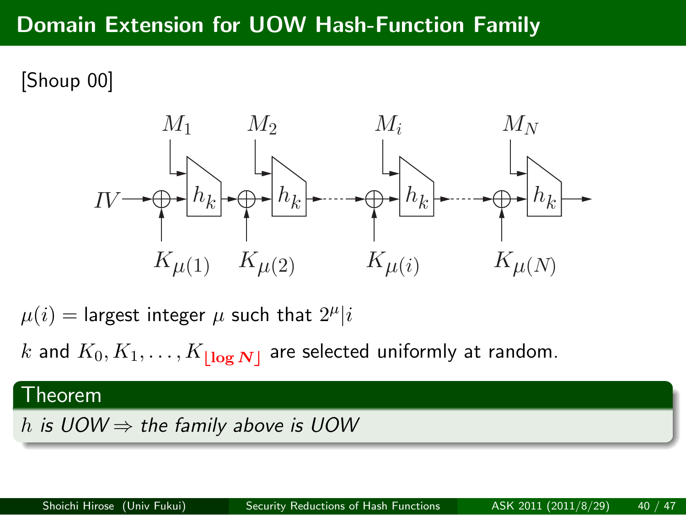[Shoup 00]



 $\mu(i) =$  largest integer  $\mu$  such that  $2^{\mu}|i$ 

*k* and  $K_0, K_1, \ldots, K_{\lfloor \log N \rfloor}$  are selected uniformly at random.

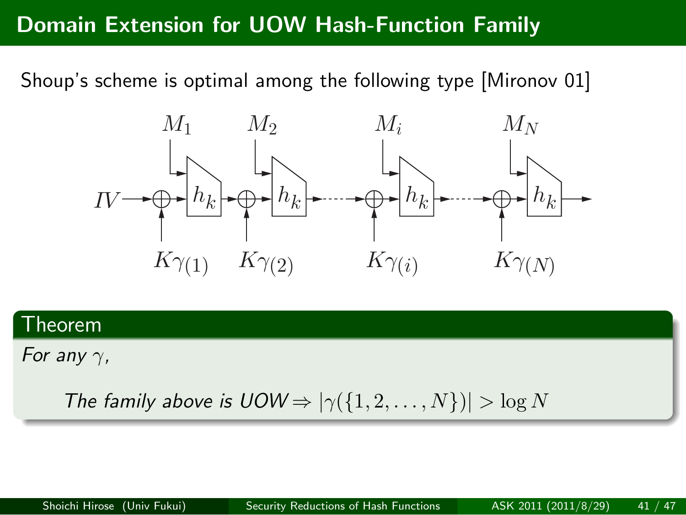Shoup's scheme is optimal among the following type [Mironov 01]



# . Theorem ..

*For any γ,*

.. . *The family above is*  $UOW \Rightarrow |\gamma(\{1, 2, ..., N\})| > \log N$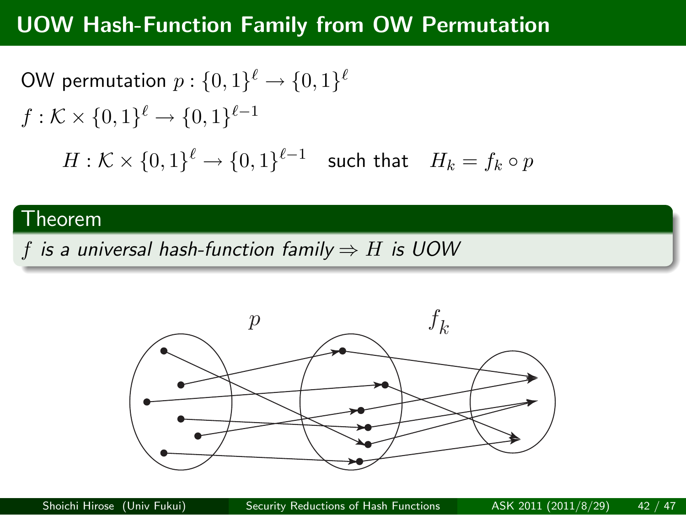#### **UOW Hash-Function Family from OW Permutation**

 $\mathsf{OW} \text{ permutation } p: \{0,1\}^\ell \rightarrow \{0,1\}^\ell$  $f: \mathcal{K} \times \{0,1\}^{\ell} \to \{0,1\}^{\ell-1}$  $H: \mathcal{K} \times \{0,1\}^{\ell} \rightarrow \{0,1\}^{\ell-1}$  such that  $H_k = f_k \circ p$ 

# . Theorem ..

. *f is a universal hash-function family ⇒ H is UOW* .. .

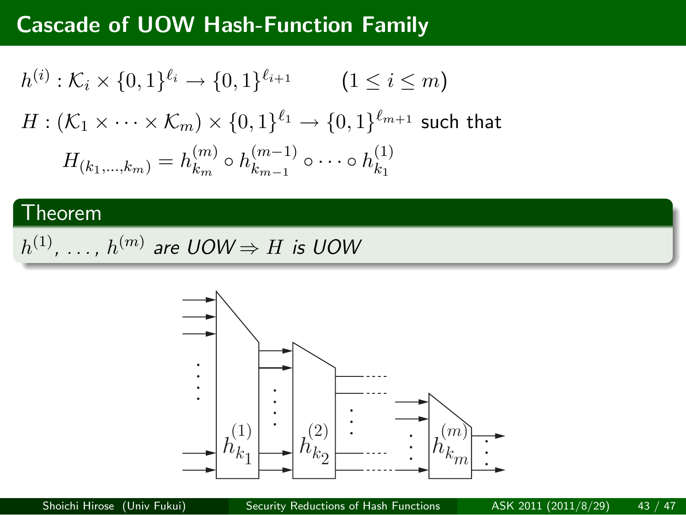# **Cascade of UOW Hash-Function Family**

$$
h^{(i)}: \mathcal{K}_i \times \{0,1\}^{\ell_i} \to \{0,1\}^{\ell_{i+1}} \qquad (1 \le i \le m)
$$
  

$$
H: (\mathcal{K}_1 \times \cdots \times \mathcal{K}_m) \times \{0,1\}^{\ell_1} \to \{0,1\}^{\ell_{m+1}} \text{ such that}
$$
  

$$
H_{(k_1,\ldots,k_m)} = h_{k_m}^{(m)} \circ h_{k_{m-1}}^{(m-1)} \circ \cdots \circ h_{k_1}^{(1)}
$$

# . Theorem ..

 $h^{(1)}, \ldots, h^{(m)}$  are  $UOW \Rightarrow H$  is  $UOW$  $h^{(1)}$ ,  $\dots$  ,  $h^{(m)}$  are UOW  $\Rightarrow$  *H* is UOW

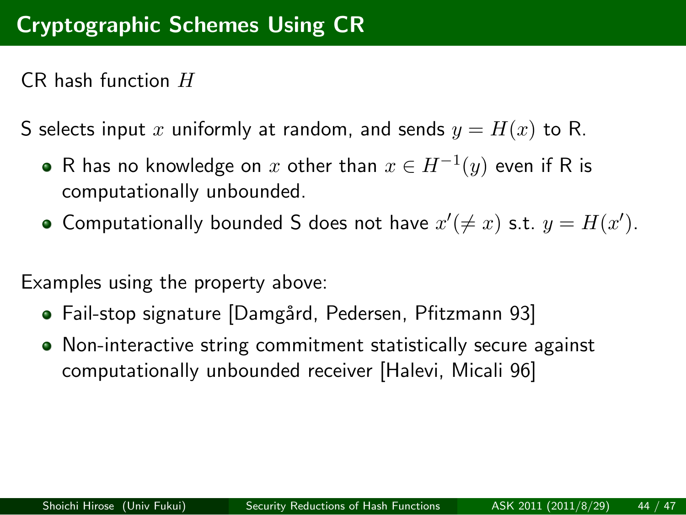# **Cryptographic Schemes Using CR**

CR hash function *H*

S selects input *x* uniformly at random, and sends  $y = H(x)$  to R.

- $\mathsf R$  has no knowledge on  $x$  other than  $x\in H^{-1}(y)$  even if  $\mathsf R$  is computationally unbounded.
- Computationally bounded S does not have  $x' (\neq x)$  s.t.  $y = H(x')$ .

Examples using the property above:

- · Fail-stop signature [Damgård, Pedersen, Pfitzmann 93]
- Non-interactive string commitment statistically secure against computationally unbounded receiver [Halevi, Micali 96]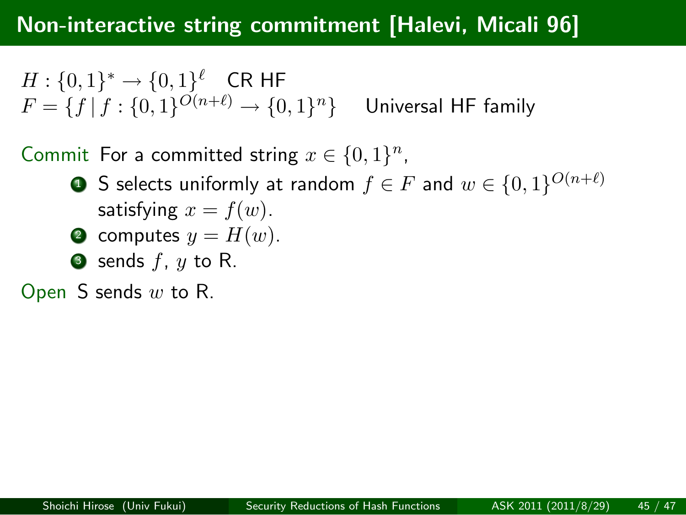#### **Non-interactive string commitment [Halevi, Micali 96]**

 $H: \{0, 1\}^* \to \{0, 1\}^{\ell}$  CR HF  $F = \{f | f : \{0, 1\}^{O(n+\ell)} \rightarrow \{0, 1\}$ *<u>Universal HF</u> family* 

Commit For a committed string  $x \in \{0, 1\}^n$ ,

- S selects uniformly at random  $f \in F$  and  $w \in \{0,1\}^{O(n+\ell)}$ satisfying  $x = f(w)$ .
- $\bullet$  computes  $y = H(w)$ .
- $\bullet$  sends  $f$ ,  $y$  to R.

Open S sends *w* to R.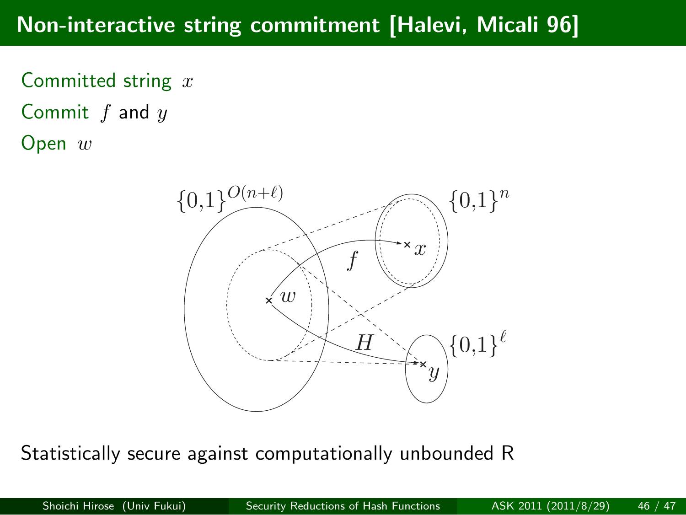#### **Non-interactive string commitment [Halevi, Micali 96]**

Committed string *x* Commit *f* and *y* Open *w*



Statistically secure against computationally unbounded R